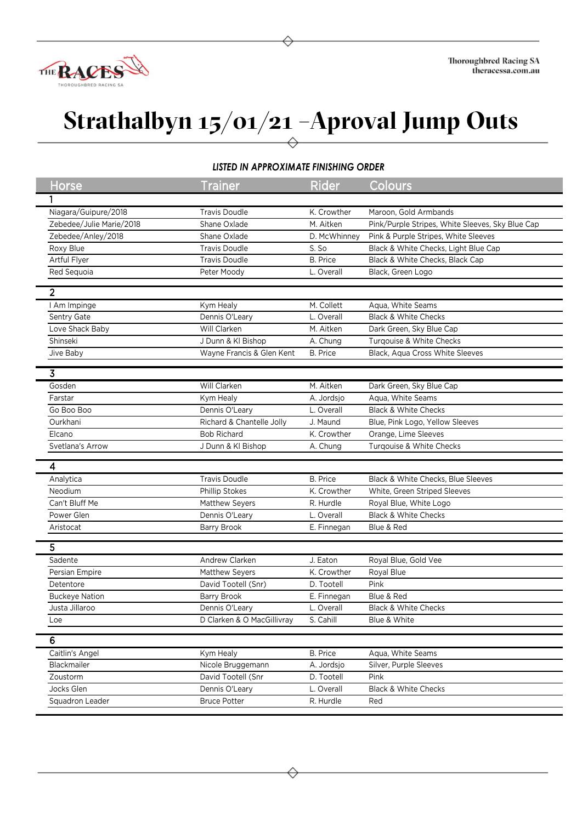

## **Strathalbyn 15/01/21 –Aproval Jump Outs**

## *LISTED IN APPROXIMATE FINISHING ORDER*

|  | <b>Horse</b>             | <b>Trainer</b>             | <b>Rider</b>    | Colours                                          |
|--|--------------------------|----------------------------|-----------------|--------------------------------------------------|
|  |                          |                            |                 |                                                  |
|  |                          |                            |                 |                                                  |
|  | Niagara/Guipure/2018     | <b>Travis Doudle</b>       | K. Crowther     | Maroon, Gold Armbands                            |
|  | Zebedee/Julie Marie/2018 | Shane Oxlade               | M. Aitken       | Pink/Purple Stripes, White Sleeves, Sky Blue Cap |
|  | Zebedee/Anley/2018       | Shane Oxlade               | D. McWhinney    | Pink & Purple Stripes, White Sleeves             |
|  | Roxy Blue                | <b>Travis Doudle</b>       | S. So           | Black & White Checks, Light Blue Cap             |
|  | Artful Flyer             | <b>Travis Doudle</b>       | <b>B.</b> Price | Black & White Checks, Black Cap                  |
|  | Red Sequoia              | Peter Moody                | L. Overall      | Black, Green Logo                                |
|  | $\overline{2}$           |                            |                 |                                                  |
|  | I Am Impinge             | Kym Healy                  | M. Collett      | Aqua, White Seams                                |
|  | Sentry Gate              | Dennis O'Leary             | L. Overall      | <b>Black &amp; White Checks</b>                  |
|  | Love Shack Baby          | Will Clarken               | M. Aitken       | Dark Green, Sky Blue Cap                         |
|  | Shinseki                 | J Dunn & KI Bishop         | A. Chung        | Turqouise & White Checks                         |
|  | Jive Baby                | Wayne Francis & Glen Kent  | <b>B.</b> Price | Black, Aqua Cross White Sleeves                  |
|  |                          |                            |                 |                                                  |
|  | 3                        |                            |                 |                                                  |
|  | Gosden                   | Will Clarken               | M. Aitken       | Dark Green, Sky Blue Cap                         |
|  | Farstar                  | Kym Healy                  | A. Jordsjo      | Aqua, White Seams                                |
|  | Go Boo Boo               | Dennis O'Leary             | L. Overall      | <b>Black &amp; White Checks</b>                  |
|  | Ourkhani                 | Richard & Chantelle Jolly  | J. Maund        | Blue, Pink Logo, Yellow Sleeves                  |
|  | Elcano                   | <b>Bob Richard</b>         | K. Crowther     | Orange, Lime Sleeves                             |
|  | Svetlana's Arrow         | J Dunn & KI Bishop         | A. Chung        | Turqouise & White Checks                         |
|  |                          |                            |                 |                                                  |
|  | 4                        |                            |                 |                                                  |
|  | Analytica                | <b>Travis Doudle</b>       | <b>B.</b> Price | Black & White Checks, Blue Sleeves               |
|  | Neodium                  | Phillip Stokes             | K. Crowther     | White, Green Striped Sleeves                     |
|  | Can't Bluff Me           | Matthew Seyers             | R. Hurdle       | Royal Blue, White Logo                           |
|  | Power Glen               | Dennis O'Leary             | L. Overall      | <b>Black &amp; White Checks</b>                  |
|  | Aristocat                | Barry Brook                | E. Finnegan     | Blue & Red                                       |
|  | 5                        |                            |                 |                                                  |
|  | Sadente                  | Andrew Clarken             | J. Eaton        | Royal Blue, Gold Vee                             |
|  | Persian Empire           | Matthew Seyers             | K. Crowther     | Royal Blue                                       |
|  | Detentore                | David Tootell (Snr)        | D. Tootell      | Pink                                             |
|  | <b>Buckeye Nation</b>    | <b>Barry Brook</b>         | E. Finnegan     | Blue & Red                                       |
|  | Justa Jillaroo           | Dennis O'Leary             | L. Overall      | <b>Black &amp; White Checks</b>                  |
|  | Loe                      | D Clarken & O MacGillivray | S. Cahill       | Blue & White                                     |
|  |                          |                            |                 |                                                  |
|  | 6                        |                            |                 |                                                  |
|  | Caitlin's Angel          | Kym Healy                  | <b>B.</b> Price | Aqua, White Seams                                |
|  | Blackmailer              | Nicole Bruggemann          | A. Jordsjo      | Silver, Purple Sleeves                           |
|  | Zoustorm                 | David Tootell (Snr         | D. Tootell      | Pink                                             |
|  | Jocks Glen               | Dennis O'Leary             | L. Overall      | <b>Black &amp; White Checks</b>                  |
|  | Squadron Leader          | <b>Bruce Potter</b>        | R. Hurdle       | Red                                              |
|  |                          |                            |                 |                                                  |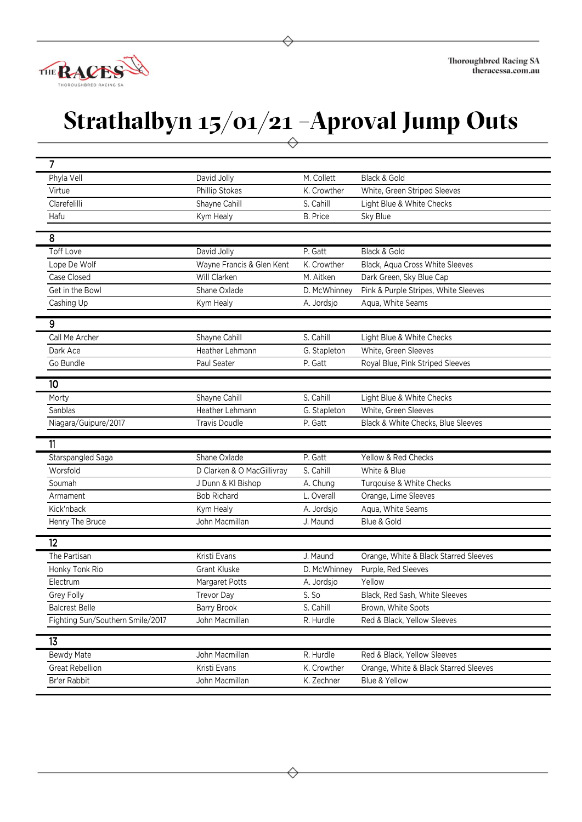

## **Strathalbyn 15/01/21 –Aproval Jump Outs**

| $\overline{7}$                   |                            |                 |                                       |
|----------------------------------|----------------------------|-----------------|---------------------------------------|
| Phyla Vell                       | David Jolly                | M. Collett      | Black & Gold                          |
| Virtue                           | Phillip Stokes             | K. Crowther     | White, Green Striped Sleeves          |
| Clarefelilli                     | Shayne Cahill              | S. Cahill       | Light Blue & White Checks             |
| Hafu                             | Kym Healy                  | <b>B.</b> Price | Sky Blue                              |
|                                  |                            |                 |                                       |
| 8                                |                            |                 |                                       |
| <b>Toff Love</b>                 | David Jolly                | P. Gatt         | Black & Gold                          |
| Lope De Wolf                     | Wayne Francis & Glen Kent  | K. Crowther     | Black, Aqua Cross White Sleeves       |
| Case Closed                      | Will Clarken               | M. Aitken       | Dark Green, Sky Blue Cap              |
| Get in the Bowl                  | Shane Oxlade               | D. McWhinney    | Pink & Purple Stripes, White Sleeves  |
| Cashing Up                       | Kym Healy                  | A. Jordsjo      | Aqua, White Seams                     |
| 9                                |                            |                 |                                       |
| Call Me Archer                   | Shayne Cahill              | S. Cahill       | Light Blue & White Checks             |
| Dark Ace                         | Heather Lehmann            | G. Stapleton    | White, Green Sleeves                  |
| Go Bundle                        | Paul Seater                | P. Gatt         | Royal Blue, Pink Striped Sleeves      |
|                                  |                            |                 |                                       |
| 10 <sup>10</sup>                 |                            |                 |                                       |
| Morty                            | Shayne Cahill              | S. Cahill       | Light Blue & White Checks             |
| Sanblas                          | Heather Lehmann            | G. Stapleton    | White, Green Sleeves                  |
| Niagara/Guipure/2017             | <b>Travis Doudle</b>       | P. Gatt         | Black & White Checks, Blue Sleeves    |
| 11                               |                            |                 |                                       |
| Starspangled Saga                | Shane Oxlade               | P. Gatt         | Yellow & Red Checks                   |
| Worsfold                         | D Clarken & O MacGillivray | S. Cahill       | White & Blue                          |
| Soumah                           | J Dunn & KI Bishop         | A. Chung        | Turqouise & White Checks              |
| Armament                         | <b>Bob Richard</b>         | L. Overall      | Orange, Lime Sleeves                  |
| Kick'nback                       | Kym Healy                  | A. Jordsjo      | Aqua, White Seams                     |
| Henry The Bruce                  | John Macmillan             | J. Maund        | Blue & Gold                           |
|                                  |                            |                 |                                       |
| 12                               |                            |                 |                                       |
| The Partisan                     | Kristi Evans               | J. Maund        | Orange, White & Black Starred Sleeves |
| Honky Tonk Rio                   | <b>Grant Kluske</b>        | D. McWhinney    | Purple, Red Sleeves                   |
| Electrum                         | Margaret Potts             | A. Jordsjo      | Yellow                                |
| Grey Folly                       | <b>Trevor Day</b>          | S. So           | Black, Red Sash, White Sleeves        |
| <b>Balcrest Belle</b>            | <b>Barry Brook</b>         | S. Cahill       | Brown, White Spots                    |
| Fighting Sun/Southern Smile/2017 | John Macmillan             | R. Hurdle       | Red & Black, Yellow Sleeves           |
| 13                               |                            |                 |                                       |
|                                  |                            |                 |                                       |
| <b>Bewdy Mate</b>                | John Macmillan             | R. Hurdle       | Red & Black, Yellow Sleeves           |
| Great Rebellion                  | Kristi Evans               | K. Crowther     | Orange, White & Black Starred Sleeves |
| Br'er Rabbit                     | John Macmillan             | K. Zechner      | Blue & Yellow                         |
|                                  |                            |                 |                                       |